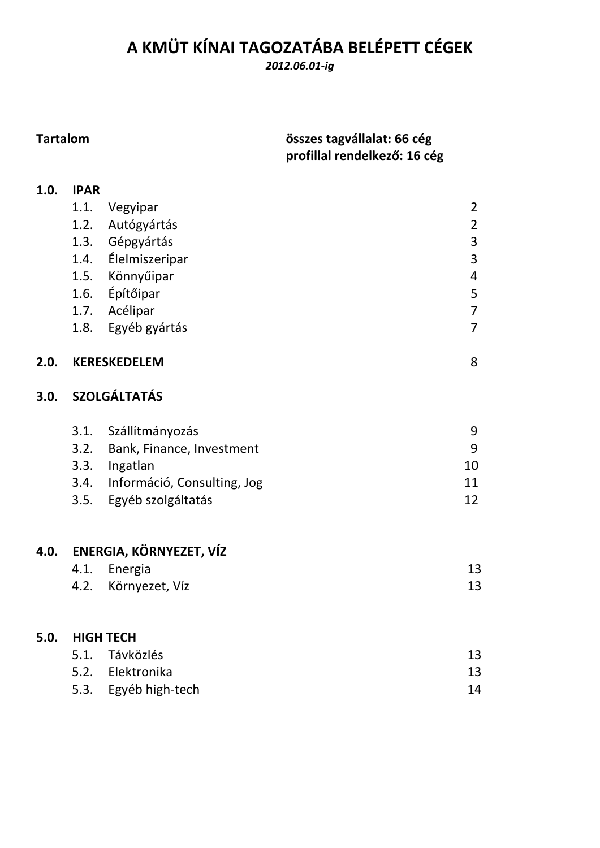# **A KMÜT KÍNAI TAGOZATÁBA BELÉPETT CÉGEK**

*2012.06.01‐ig*

# **Tartalom összes tagvállalat: 66 cég profillal rendelkező: 16 cég**

| 1.0. | <b>IPAR</b> |                                  |                |
|------|-------------|----------------------------------|----------------|
|      | 1.1.        | Vegyipar                         | $\overline{2}$ |
|      | 1.2.        | Autógyártás                      | $\overline{2}$ |
|      |             | 1.3. Gépgyártás                  | 3              |
|      |             | 1.4. Élelmiszeripar              | 3              |
|      |             | 1.5. Könnyűipar                  | $\overline{4}$ |
|      |             | 1.6. Építőipar                   | 5              |
|      |             | 1.7. Acélipar                    | $\overline{7}$ |
|      |             | 1.8. Egyéb gyártás               | $\overline{7}$ |
| 2.0. |             | <b>KERESKEDELEM</b>              | 8              |
| 3.0. |             | <b>SZOLGÁLTATÁS</b>              |                |
|      |             | 3.1. Szállítmányozás             | 9              |
|      |             | 3.2. Bank, Finance, Investment   | 9              |
|      |             | 3.3. Ingatlan                    | 10             |
|      |             | 3.4. Információ, Consulting, Jog | 11             |
|      |             | 3.5. Egyéb szolgáltatás          | 12             |
| 4.0. |             | ENERGIA, KÖRNYEZET, VÍZ          |                |
|      | 4.1.        | Energia                          | 13             |
|      | 4.2.        | Környezet, Víz                   | 13             |
| 5.0. |             | <b>HIGH TECH</b>                 |                |
|      | 5.1.        | Távközlés                        | 13             |
|      |             | 5.2. Elektronika                 | 13             |
|      |             | 5.3. Egyéb high-tech             | 14             |
|      |             |                                  |                |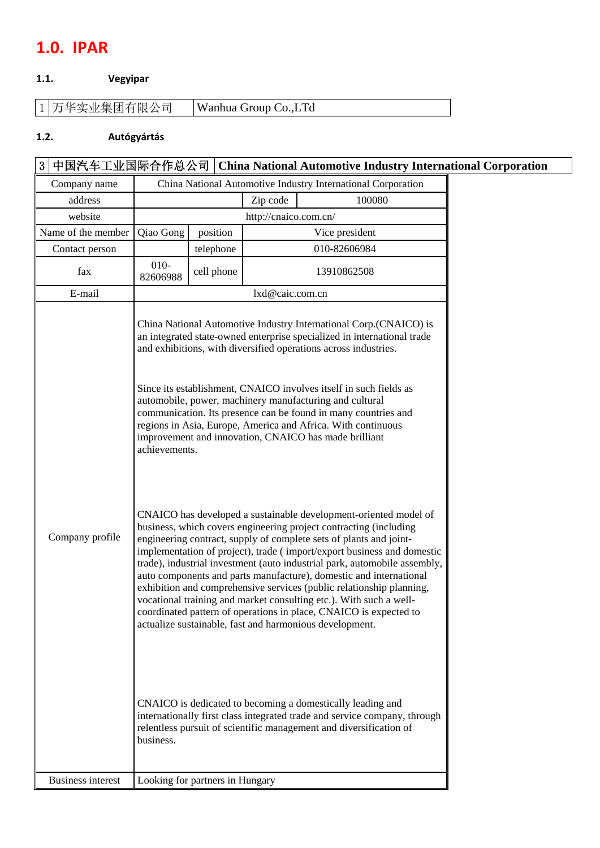# **1.0. IPAR**

#### **1.1. Vegyipar**

| Wanhua Group Co., LTd | 1 万华实业集团有限公司 |
|-----------------------|--------------|
|-----------------------|--------------|

#### **1.2. Autógyártás**

# 3 中国汽车工业国际合作总公司 **China National Automotive Industry International Corporation**  Company name China National Automotive Industry International Corporation address 2ip code 2ip code 100080 website http://cnaico.com.cn/ Name of the member | Qiao Gong | position | Vice president Contact person telephone 010-82606984  $\begin{array}{cc} \text{fax} & 010 \\ 82606988 \end{array}$ cell phone 13910862508 E-mail lxd@caic.com.cn China National Automotive Industry International Corp.(CNAICO) is an integrated state-owned enterprise specialized in international trade and exhibitions, with diversified operations across industries. Since its establishment, CNAICO involves itself in such fields as automobile, power, machinery manufacturing and cultural communication. Its presence can be found in many countries and regions in Asia, Europe, America and Africa. With continuous improvement and innovation, CNAICO has made brilliant achievements.

| Company profile | CNAICO has developed a sustainable development-oriented model of<br>business, which covers engineering project contracting (including<br>engineering contract, supply of complete sets of plants and joint-<br>implementation of project), trade (import/export business and domestic<br>trade), industrial investment (auto industrial park, automobile assembly,<br>auto components and parts manufacture), domestic and international<br>exhibition and comprehensive services (public relationship planning,<br>vocational training and market consulting etc.). With such a well-<br>coordinated pattern of operations in place, CNAICO is expected to |
|-----------------|-------------------------------------------------------------------------------------------------------------------------------------------------------------------------------------------------------------------------------------------------------------------------------------------------------------------------------------------------------------------------------------------------------------------------------------------------------------------------------------------------------------------------------------------------------------------------------------------------------------------------------------------------------------|
|                 | actualize sustainable, fast and harmonious development.                                                                                                                                                                                                                                                                                                                                                                                                                                                                                                                                                                                                     |

CNAICO is dedicated to becoming a domestically leading and internationally first class integrated trade and service company, through relentless pursuit of scientific management and diversification of business.

Business interest Looking for partners in Hungary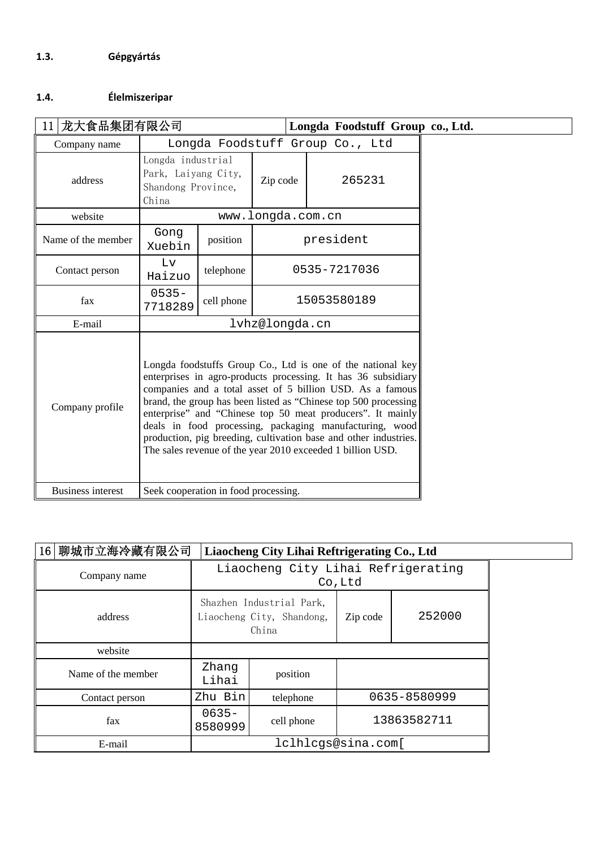### **1.4. Élelmiszeripar**

| 11 龙大食品集团有限公司<br>Longda Foodstuff Group co., Ltd. |                                                                                                                                                                                                                                                                                                                                                                                                                                                                                                                         |            |                   |              |  |
|---------------------------------------------------|-------------------------------------------------------------------------------------------------------------------------------------------------------------------------------------------------------------------------------------------------------------------------------------------------------------------------------------------------------------------------------------------------------------------------------------------------------------------------------------------------------------------------|------------|-------------------|--------------|--|
| Company name                                      | Longda Foodstuff Group Co., Ltd                                                                                                                                                                                                                                                                                                                                                                                                                                                                                         |            |                   |              |  |
| address                                           | Longda industrial<br>Park, Laiyang City,<br>Shandong Province,<br>China                                                                                                                                                                                                                                                                                                                                                                                                                                                 |            | Zip code          | 265231       |  |
| website                                           |                                                                                                                                                                                                                                                                                                                                                                                                                                                                                                                         |            | www.longda.com.cn |              |  |
| Name of the member                                | Gong<br>Xuebin                                                                                                                                                                                                                                                                                                                                                                                                                                                                                                          | position   |                   | president    |  |
| Contact person                                    | Lv<br>Haizuo                                                                                                                                                                                                                                                                                                                                                                                                                                                                                                            | telephone  |                   | 0535-7217036 |  |
| fax                                               | $0535 -$<br>7718289                                                                                                                                                                                                                                                                                                                                                                                                                                                                                                     | cell phone |                   | 15053580189  |  |
| E-mail                                            |                                                                                                                                                                                                                                                                                                                                                                                                                                                                                                                         |            | lvhz@longda.cn    |              |  |
| Company profile                                   | Longda foodstuffs Group Co., Ltd is one of the national key<br>enterprises in agro-products processing. It has 36 subsidiary<br>companies and a total asset of 5 billion USD. As a famous<br>brand, the group has been listed as "Chinese top 500 processing<br>enterprise" and "Chinese top 50 meat producers". It mainly<br>deals in food processing, packaging manufacturing, wood<br>production, pig breeding, cultivation base and other industries.<br>The sales revenue of the year 2010 exceeded 1 billion USD. |            |                   |              |  |
| <b>Business interest</b>                          | Seek cooperation in food processing.                                                                                                                                                                                                                                                                                                                                                                                                                                                                                    |            |                   |              |  |

| 16 聊城市立海冷藏有限公司     |                                                                | Liaocheng City Lihai Reftrigerating Co., Ltd  |              |        |  |  |
|--------------------|----------------------------------------------------------------|-----------------------------------------------|--------------|--------|--|--|
| Company name       |                                                                | Liaocheng City Lihai Refrigerating<br>Co, Ltd |              |        |  |  |
| address            | Shazhen Industrial Park,<br>Liaocheng City, Shandong,<br>China |                                               | Zip code     | 252000 |  |  |
| website            |                                                                |                                               |              |        |  |  |
| Name of the member | Zhang<br>Lihai                                                 | position                                      |              |        |  |  |
| Contact person     | Zhu Bin                                                        | telephone                                     | 0635-8580999 |        |  |  |
| fax                | $0635 -$<br>8580999                                            | cell phone                                    | 13863582711  |        |  |  |
| E-mail             | lclhlcgs@sina.com[                                             |                                               |              |        |  |  |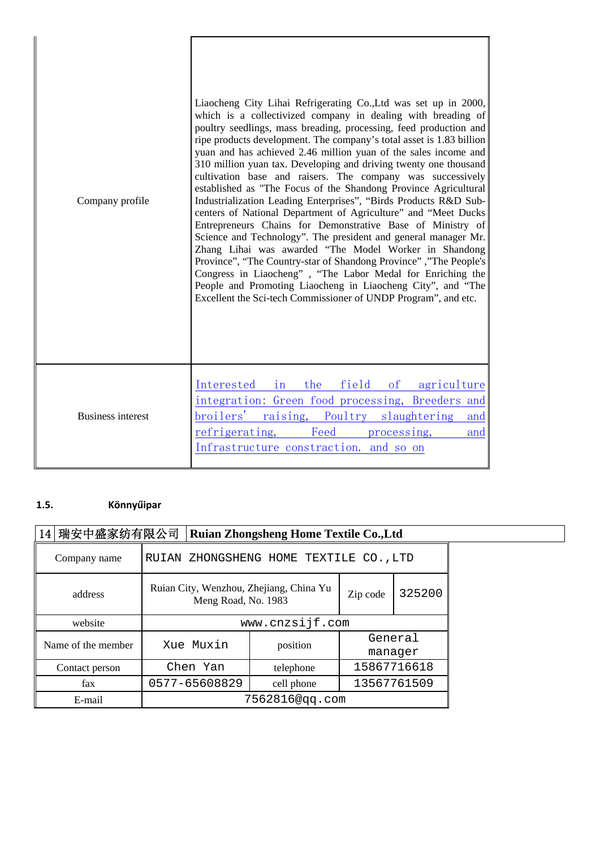| Company profile          | Liaocheng City Lihai Refrigerating Co., Ltd was set up in 2000,<br>which is a collectivized company in dealing with breading of<br>poultry seedlings, mass breading, processing, feed production and<br>ripe products development. The company's total asset is 1.83 billion<br>yuan and has achieved 2.46 million yuan of the sales income and<br>310 million yuan tax. Developing and driving twenty one thousand<br>cultivation base and raisers. The company was successively<br>established as "The Focus of the Shandong Province Agricultural<br>Industrialization Leading Enterprises", "Birds Products R&D Sub-<br>centers of National Department of Agriculture" and "Meet Ducks<br>Entrepreneurs Chains for Demonstrative Base of Ministry of<br>Science and Technology". The president and general manager Mr.<br>Zhang Lihai was awarded "The Model Worker in Shandong<br>Province", "The Country-star of Shandong Province", "The People's<br>Congress in Liaocheng", "The Labor Medal for Enriching the<br>People and Promoting Liaocheng in Liaocheng City", and "The<br>Excellent the Sci-tech Commissioner of UNDP Program", and etc. |
|--------------------------|---------------------------------------------------------------------------------------------------------------------------------------------------------------------------------------------------------------------------------------------------------------------------------------------------------------------------------------------------------------------------------------------------------------------------------------------------------------------------------------------------------------------------------------------------------------------------------------------------------------------------------------------------------------------------------------------------------------------------------------------------------------------------------------------------------------------------------------------------------------------------------------------------------------------------------------------------------------------------------------------------------------------------------------------------------------------------------------------------------------------------------------------------------|
| <b>Business interest</b> | the<br>field<br>Interested<br>in<br>$\circ$ f<br>agriculture<br>integration: Green food processing, Breeders and<br>broilers'<br>raising, Poultry<br>slaughtering<br>and<br>refrigerating, Feed processing,<br>and<br>Infrastructure constraction, and so on                                                                                                                                                                                                                                                                                                                                                                                                                                                                                                                                                                                                                                                                                                                                                                                                                                                                                            |

### **1.5. Könnyűipar**

| 14 瑞安中盛家纺有限公司      |                 | <b>Ruian Zhongsheng Home Textile Co., Ltd</b>                  |                |             |             |  |
|--------------------|-----------------|----------------------------------------------------------------|----------------|-------------|-------------|--|
| Company name       |                 | RUIAN ZHONGSHENG HOME TEXTILE CO., LTD                         |                |             |             |  |
| address            |                 | Ruian City, Wenzhou, Zhejiang, China Yu<br>Meng Road, No. 1983 |                | Zip code    | 325200      |  |
| website            | www.cnzsijf.com |                                                                |                |             |             |  |
| Name of the member |                 | General<br>Xue Muxin<br>position<br>manager                    |                |             |             |  |
| Contact person     |                 | Chen Yan                                                       | telephone      | 15867716618 |             |  |
| fax                |                 | 0577-65608829<br>cell phone                                    |                |             | 13567761509 |  |
| E-mail             |                 |                                                                | 7562816@qq.com |             |             |  |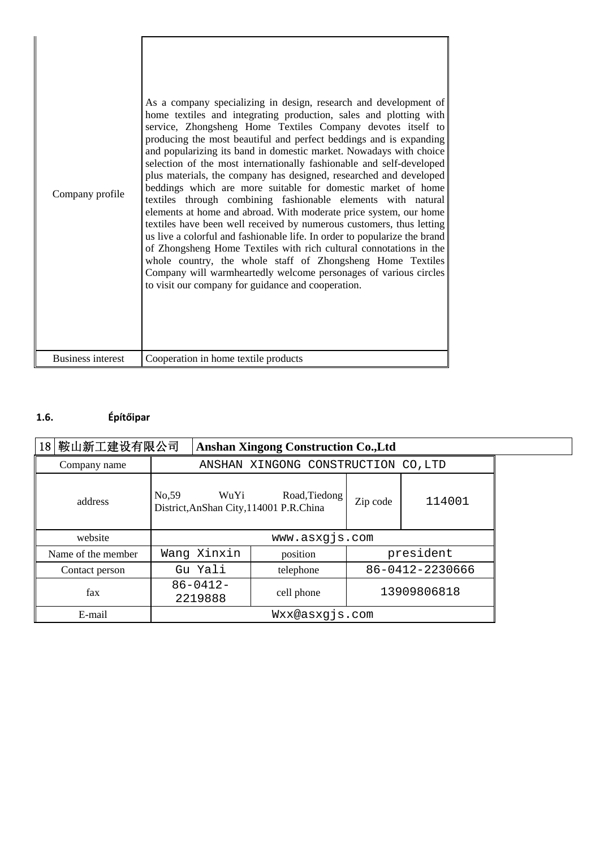| Company profile          | As a company specializing in design, research and development of<br>home textiles and integrating production, sales and plotting with<br>service, Zhongsheng Home Textiles Company devotes itself to<br>producing the most beautiful and perfect beddings and is expanding<br>and popularizing its band in domestic market. Nowadays with choice<br>selection of the most internationally fashionable and self-developed<br>plus materials, the company has designed, researched and developed<br>beddings which are more suitable for domestic market of home<br>textiles through combining fashionable elements with natural<br>elements at home and abroad. With moderate price system, our home<br>textiles have been well received by numerous customers, thus letting<br>us live a colorful and fashionable life. In order to popularize the brand<br>of Zhongsheng Home Textiles with rich cultural connotations in the<br>whole country, the whole staff of Zhongsheng Home Textiles<br>Company will warmheartedly welcome personages of various circles<br>to visit our company for guidance and cooperation. |
|--------------------------|------------------------------------------------------------------------------------------------------------------------------------------------------------------------------------------------------------------------------------------------------------------------------------------------------------------------------------------------------------------------------------------------------------------------------------------------------------------------------------------------------------------------------------------------------------------------------------------------------------------------------------------------------------------------------------------------------------------------------------------------------------------------------------------------------------------------------------------------------------------------------------------------------------------------------------------------------------------------------------------------------------------------------------------------------------------------------------------------------------------------|
| <b>Business interest</b> | Cooperation in home textile products                                                                                                                                                                                                                                                                                                                                                                                                                                                                                                                                                                                                                                                                                                                                                                                                                                                                                                                                                                                                                                                                                   |

# **1.6. Építőipar**

| 18 鞍山新工建设有限公司      |                                                           | <b>Anshan Xingong Construction Co., Ltd</b> |                 |             |  |  |
|--------------------|-----------------------------------------------------------|---------------------------------------------|-----------------|-------------|--|--|
| Company name       |                                                           | ANSHAN XINGONG CONSTRUCTION CO, LTD         |                 |             |  |  |
| address            | No, 59<br>WuYi<br>District, AnShan City, 114001 P.R.China | Road, Tiedong                               | Zip code        | 114001      |  |  |
| website            |                                                           | www.asxgjs.com                              |                 |             |  |  |
| Name of the member | Wang Xinxin                                               | position                                    |                 | president   |  |  |
| Contact person     | Gu Yali                                                   | telephone                                   | 86-0412-2230666 |             |  |  |
| fax                | $86 - 0412 -$<br>2219888                                  | cell phone                                  |                 | 13909806818 |  |  |
| E-mail             |                                                           | Wxx@asxgjs.com                              |                 |             |  |  |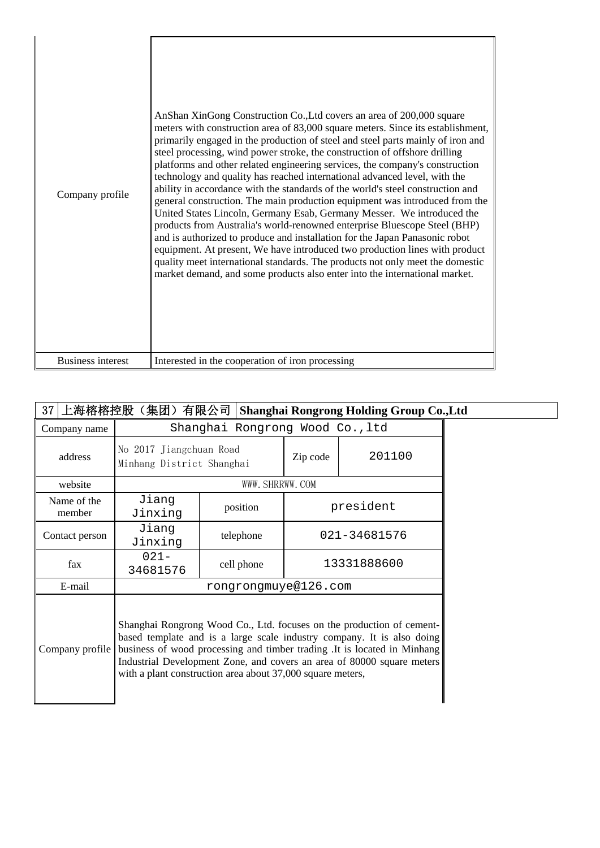| Company profile          | AnShan XinGong Construction Co., Ltd covers an area of 200,000 square<br>meters with construction area of 83,000 square meters. Since its establishment,<br>primarily engaged in the production of steel and steel parts mainly of iron and<br>steel processing, wind power stroke, the construction of offshore drilling<br>platforms and other related engineering services, the company's construction<br>technology and quality has reached international advanced level, with the<br>ability in accordance with the standards of the world's steel construction and<br>general construction. The main production equipment was introduced from the<br>United States Lincoln, Germany Esab, Germany Messer. We introduced the<br>products from Australia's world-renowned enterprise Bluescope Steel (BHP)<br>and is authorized to produce and installation for the Japan Panasonic robot<br>equipment. At present, We have introduced two production lines with product<br>quality meet international standards. The products not only meet the domestic<br>market demand, and some products also enter into the international market. |
|--------------------------|---------------------------------------------------------------------------------------------------------------------------------------------------------------------------------------------------------------------------------------------------------------------------------------------------------------------------------------------------------------------------------------------------------------------------------------------------------------------------------------------------------------------------------------------------------------------------------------------------------------------------------------------------------------------------------------------------------------------------------------------------------------------------------------------------------------------------------------------------------------------------------------------------------------------------------------------------------------------------------------------------------------------------------------------------------------------------------------------------------------------------------------------|
| <b>Business interest</b> | Interested in the cooperation of iron processing                                                                                                                                                                                                                                                                                                                                                                                                                                                                                                                                                                                                                                                                                                                                                                                                                                                                                                                                                                                                                                                                                            |

 $\overline{\mathbf{r}}$ 

| 37 上海榕榕控股(集团)有限公司   Shanghai Rongrong Holding Group Co.,Ltd |                                                                                                                                                                                                                                                                                                                                                                     |                           |              |           |  |
|-------------------------------------------------------------|---------------------------------------------------------------------------------------------------------------------------------------------------------------------------------------------------------------------------------------------------------------------------------------------------------------------------------------------------------------------|---------------------------|--------------|-----------|--|
| Company name                                                | Shanghai Rongrong Wood Co., ltd                                                                                                                                                                                                                                                                                                                                     |                           |              |           |  |
| address                                                     | No 2017 Jiangchuan Road<br>Minhang District Shanghai                                                                                                                                                                                                                                                                                                                |                           | Zip code     | 201100    |  |
| website                                                     |                                                                                                                                                                                                                                                                                                                                                                     | WWW. SHRRWW. COM          |              |           |  |
| Name of the<br>member                                       | Jiang<br>Jinxing                                                                                                                                                                                                                                                                                                                                                    | position                  |              | president |  |
| Contact person                                              | Jiang<br>Jinxing                                                                                                                                                                                                                                                                                                                                                    | telephone                 | 021-34681576 |           |  |
| fax                                                         | $021 -$<br>34681576                                                                                                                                                                                                                                                                                                                                                 | 13331888600<br>cell phone |              |           |  |
| E-mail                                                      |                                                                                                                                                                                                                                                                                                                                                                     | rongrongmuye@126.com      |              |           |  |
| Company profile                                             | Shanghai Rongrong Wood Co., Ltd. focuses on the production of cement-<br>based template and is a large scale industry company. It is also doing<br>business of wood processing and timber trading. It is located in Minhang<br>Industrial Development Zone, and covers an area of 80000 square meters<br>with a plant construction area about 37,000 square meters, |                           |              |           |  |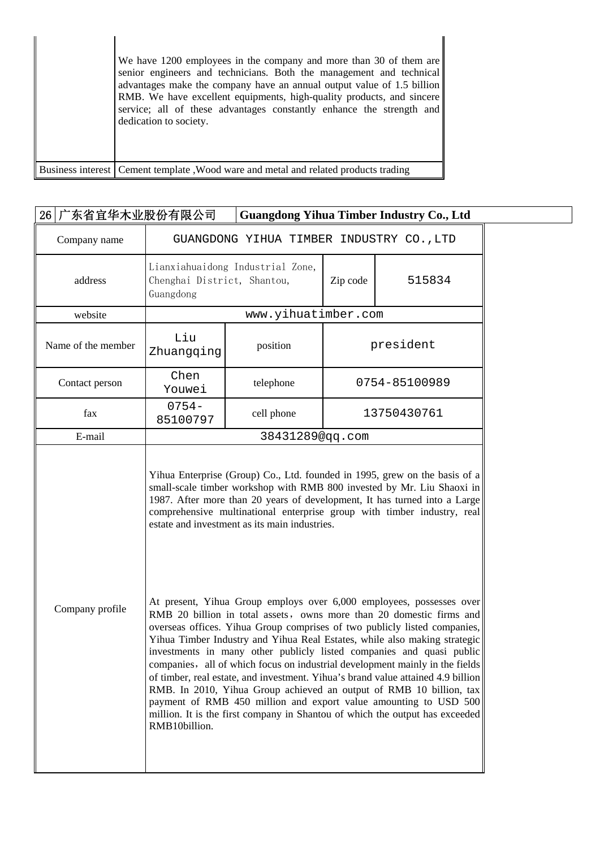| We have 1200 employees in the company and more than 30 of them are<br>senior engineers and technicians. Both the management and technical<br>advantages make the company have an annual output value of 1.5 billion<br>RMB. We have excellent equipments, high-quality products, and sincere<br>service; all of these advantages constantly enhance the strength and<br>dedication to society. |
|------------------------------------------------------------------------------------------------------------------------------------------------------------------------------------------------------------------------------------------------------------------------------------------------------------------------------------------------------------------------------------------------|
| Business interest Cement template Wood ware and metal and related products trading                                                                                                                                                                                                                                                                                                             |

|                    | 26   广东省宜华木业股份有限公司<br><b>Guangdong Yihua Timber Industry Co., Ltd</b>                                                                                                                                                                                                                                                                                                                                                                                                                                                                                                                                                                                                                                                                                                                                                                                                                                                                                                                                   |                                          |          |               |  |  |
|--------------------|---------------------------------------------------------------------------------------------------------------------------------------------------------------------------------------------------------------------------------------------------------------------------------------------------------------------------------------------------------------------------------------------------------------------------------------------------------------------------------------------------------------------------------------------------------------------------------------------------------------------------------------------------------------------------------------------------------------------------------------------------------------------------------------------------------------------------------------------------------------------------------------------------------------------------------------------------------------------------------------------------------|------------------------------------------|----------|---------------|--|--|
| Company name       |                                                                                                                                                                                                                                                                                                                                                                                                                                                                                                                                                                                                                                                                                                                                                                                                                                                                                                                                                                                                         | GUANGDONG YIHUA TIMBER INDUSTRY CO., LTD |          |               |  |  |
| address            | Chenghai District, Shantou,<br>Guangdong                                                                                                                                                                                                                                                                                                                                                                                                                                                                                                                                                                                                                                                                                                                                                                                                                                                                                                                                                                | Lianxiahuaidong Industrial Zone,         | Zip code | 515834        |  |  |
| website            |                                                                                                                                                                                                                                                                                                                                                                                                                                                                                                                                                                                                                                                                                                                                                                                                                                                                                                                                                                                                         | www.yihuatimber.com                      |          |               |  |  |
| Name of the member | Liu<br>Zhuangqing                                                                                                                                                                                                                                                                                                                                                                                                                                                                                                                                                                                                                                                                                                                                                                                                                                                                                                                                                                                       | position                                 |          | president     |  |  |
| Contact person     | Chen<br>Youwei                                                                                                                                                                                                                                                                                                                                                                                                                                                                                                                                                                                                                                                                                                                                                                                                                                                                                                                                                                                          | telephone                                |          | 0754-85100989 |  |  |
| fax                | $0754 -$<br>85100797                                                                                                                                                                                                                                                                                                                                                                                                                                                                                                                                                                                                                                                                                                                                                                                                                                                                                                                                                                                    | cell phone                               |          | 13750430761   |  |  |
| E-mail             |                                                                                                                                                                                                                                                                                                                                                                                                                                                                                                                                                                                                                                                                                                                                                                                                                                                                                                                                                                                                         | 38431289@qq.com                          |          |               |  |  |
| Company profile    | 1987. After more than 20 years of development, It has turned into a Large<br>comprehensive multinational enterprise group with timber industry, real<br>estate and investment as its main industries.<br>At present, Yihua Group employs over 6,000 employees, possesses over<br>RMB 20 billion in total assets, owns more than 20 domestic firms and<br>overseas offices. Yihua Group comprises of two publicly listed companies,<br>Yihua Timber Industry and Yihua Real Estates, while also making strategic<br>investments in many other publicly listed companies and quasi public<br>companies, all of which focus on industrial development mainly in the fields<br>of timber, real estate, and investment. Yihua's brand value attained 4.9 billion<br>RMB. In 2010, Yihua Group achieved an output of RMB 10 billion, tax<br>payment of RMB 450 million and export value amounting to USD 500<br>million. It is the first company in Shantou of which the output has exceeded<br>RMB10billion. |                                          |          |               |  |  |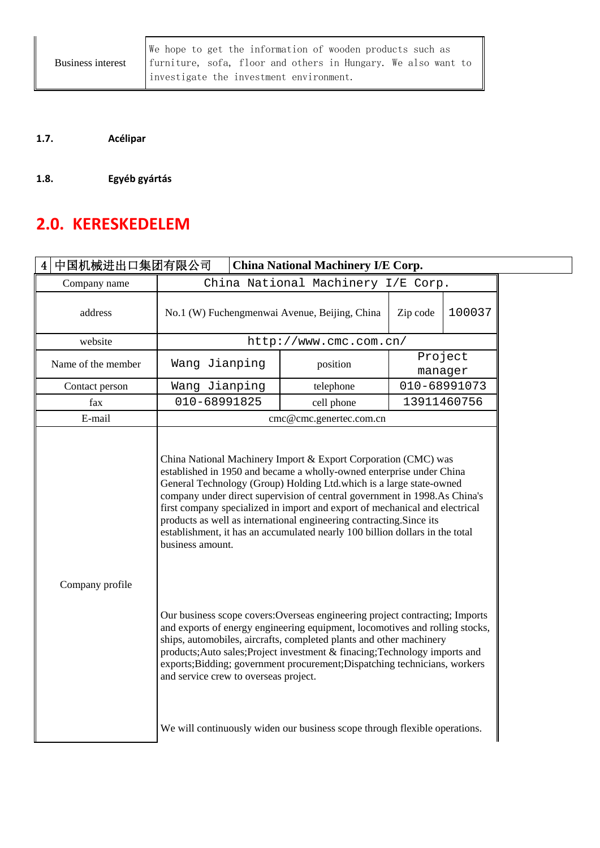We hope to get the information of wooden products such as furniture, sofa, floor and others in Hungary. We also want to investigate the investment environment.

**1.7. Acélipar**

**1.8. Egyéb gyártás**

# **2.0. KERESKEDELEM**

| 中国机械进出口集团有限公司<br>4 <sup>1</sup><br><b>China National Machinery I/E Corp.</b> |                                                                                                                                                                                                                                                                                                                                                                                                                                                                                                                                                       |                                                                     |         |              |  |  |  |
|------------------------------------------------------------------------------|-------------------------------------------------------------------------------------------------------------------------------------------------------------------------------------------------------------------------------------------------------------------------------------------------------------------------------------------------------------------------------------------------------------------------------------------------------------------------------------------------------------------------------------------------------|---------------------------------------------------------------------|---------|--------------|--|--|--|
| Company name                                                                 |                                                                                                                                                                                                                                                                                                                                                                                                                                                                                                                                                       | China National Machinery I/E Corp.                                  |         |              |  |  |  |
| address                                                                      |                                                                                                                                                                                                                                                                                                                                                                                                                                                                                                                                                       | No.1 (W) Fuchengmenwai Avenue, Beijing, China<br>100037<br>Zip code |         |              |  |  |  |
| website                                                                      |                                                                                                                                                                                                                                                                                                                                                                                                                                                                                                                                                       | http://www.cmc.com.cn/                                              |         |              |  |  |  |
| Name of the member                                                           | Wang Jianping                                                                                                                                                                                                                                                                                                                                                                                                                                                                                                                                         | position                                                            | Project | manager      |  |  |  |
| Contact person                                                               | Wang Jianping                                                                                                                                                                                                                                                                                                                                                                                                                                                                                                                                         | telephone                                                           |         | 010-68991073 |  |  |  |
| fax                                                                          | 010-68991825                                                                                                                                                                                                                                                                                                                                                                                                                                                                                                                                          | cell phone                                                          |         | 13911460756  |  |  |  |
| E-mail                                                                       |                                                                                                                                                                                                                                                                                                                                                                                                                                                                                                                                                       | cmc@cmc.genertec.com.cn                                             |         |              |  |  |  |
|                                                                              | China National Machinery Import & Export Corporation (CMC) was<br>established in 1950 and became a wholly-owned enterprise under China<br>General Technology (Group) Holding Ltd.which is a large state-owned<br>company under direct supervision of central government in 1998.As China's<br>first company specialized in import and export of mechanical and electrical<br>products as well as international engineering contracting. Since its<br>establishment, it has an accumulated nearly 100 billion dollars in the total<br>business amount. |                                                                     |         |              |  |  |  |
| Company profile                                                              | Our business scope covers: Overseas engineering project contracting; Imports<br>and exports of energy engineering equipment, locomotives and rolling stocks,<br>ships, automobiles, aircrafts, completed plants and other machinery<br>products; Auto sales; Project investment & finacing; Technology imports and<br>exports; Bidding; government procurement; Dispatching technicians, workers<br>and service crew to overseas project.<br>We will continuously widen our business scope through flexible operations.                               |                                                                     |         |              |  |  |  |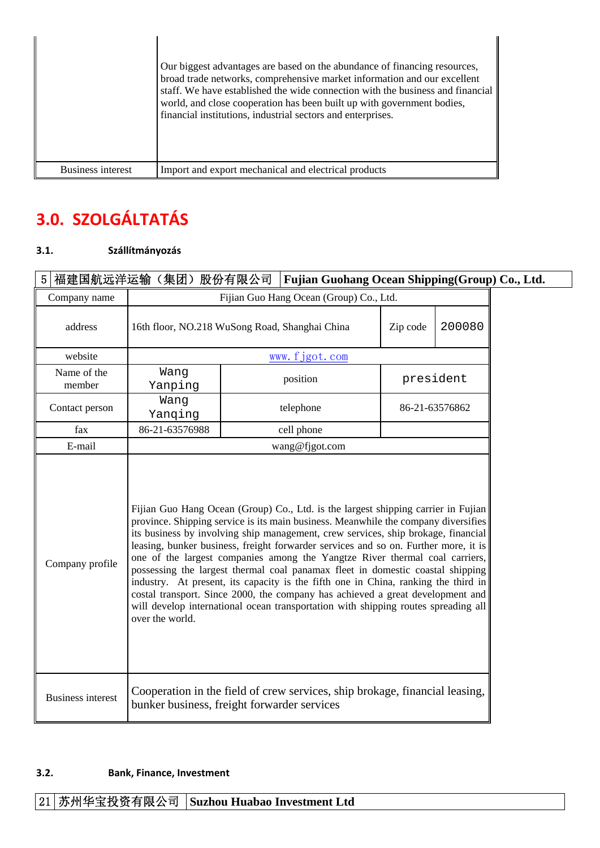|                   | Our biggest advantages are based on the abundance of financing resources,<br>broad trade networks, comprehensive market information and our excellent<br>staff. We have established the wide connection with the business and financial<br>world, and close cooperation has been built up with government bodies,<br>financial institutions, industrial sectors and enterprises. |
|-------------------|----------------------------------------------------------------------------------------------------------------------------------------------------------------------------------------------------------------------------------------------------------------------------------------------------------------------------------------------------------------------------------|
| Business interest | Import and export mechanical and electrical products                                                                                                                                                                                                                                                                                                                             |

# **3.0. SZOLGÁLTATÁS**

#### **3.1. Szállítmányozás**

| 福建国航远洋运输(集团)股份有限公司<br><b>Fujian Guohang Ocean Shipping (Group) Co., Ltd.</b><br>$\overline{5}$ |                                                                                                                            |                                                                                                                                                                                                                                                                                                                                                                                                                                                                                                                                                                                                                                                                                                                                                                                    |                |          |                |  |
|------------------------------------------------------------------------------------------------|----------------------------------------------------------------------------------------------------------------------------|------------------------------------------------------------------------------------------------------------------------------------------------------------------------------------------------------------------------------------------------------------------------------------------------------------------------------------------------------------------------------------------------------------------------------------------------------------------------------------------------------------------------------------------------------------------------------------------------------------------------------------------------------------------------------------------------------------------------------------------------------------------------------------|----------------|----------|----------------|--|
| Company name                                                                                   |                                                                                                                            | Fijian Guo Hang Ocean (Group) Co., Ltd.                                                                                                                                                                                                                                                                                                                                                                                                                                                                                                                                                                                                                                                                                                                                            |                |          |                |  |
| address                                                                                        | 16th floor, NO.218 WuSong Road, Shanghai China                                                                             |                                                                                                                                                                                                                                                                                                                                                                                                                                                                                                                                                                                                                                                                                                                                                                                    |                | Zip code | 200080         |  |
| website                                                                                        |                                                                                                                            |                                                                                                                                                                                                                                                                                                                                                                                                                                                                                                                                                                                                                                                                                                                                                                                    | www.fjgot.com  |          |                |  |
| Name of the<br>member                                                                          | Wang<br>Yanping                                                                                                            |                                                                                                                                                                                                                                                                                                                                                                                                                                                                                                                                                                                                                                                                                                                                                                                    | position       |          | president      |  |
| Contact person                                                                                 | Wang<br>Yanqing                                                                                                            |                                                                                                                                                                                                                                                                                                                                                                                                                                                                                                                                                                                                                                                                                                                                                                                    | telephone      |          | 86-21-63576862 |  |
| fax                                                                                            | 86-21-63576988                                                                                                             |                                                                                                                                                                                                                                                                                                                                                                                                                                                                                                                                                                                                                                                                                                                                                                                    | cell phone     |          |                |  |
| E-mail                                                                                         |                                                                                                                            |                                                                                                                                                                                                                                                                                                                                                                                                                                                                                                                                                                                                                                                                                                                                                                                    | wang@fjgot.com |          |                |  |
| Company profile                                                                                | over the world.                                                                                                            | Fijian Guo Hang Ocean (Group) Co., Ltd. is the largest shipping carrier in Fujian<br>province. Shipping service is its main business. Meanwhile the company diversifies<br>its business by involving ship management, crew services, ship brokage, financial<br>leasing, bunker business, freight forwarder services and so on. Further more, it is<br>one of the largest companies among the Yangtze River thermal coal carriers,<br>possessing the largest thermal coal panamax fleet in domestic coastal shipping<br>industry. At present, its capacity is the fifth one in China, ranking the third in<br>costal transport. Since 2000, the company has achieved a great development and<br>will develop international ocean transportation with shipping routes spreading all |                |          |                |  |
| <b>Business interest</b>                                                                       | Cooperation in the field of crew services, ship brokage, financial leasing,<br>bunker business, freight forwarder services |                                                                                                                                                                                                                                                                                                                                                                                                                                                                                                                                                                                                                                                                                                                                                                                    |                |          |                |  |

#### **3.2. Bank, Finance, Investment**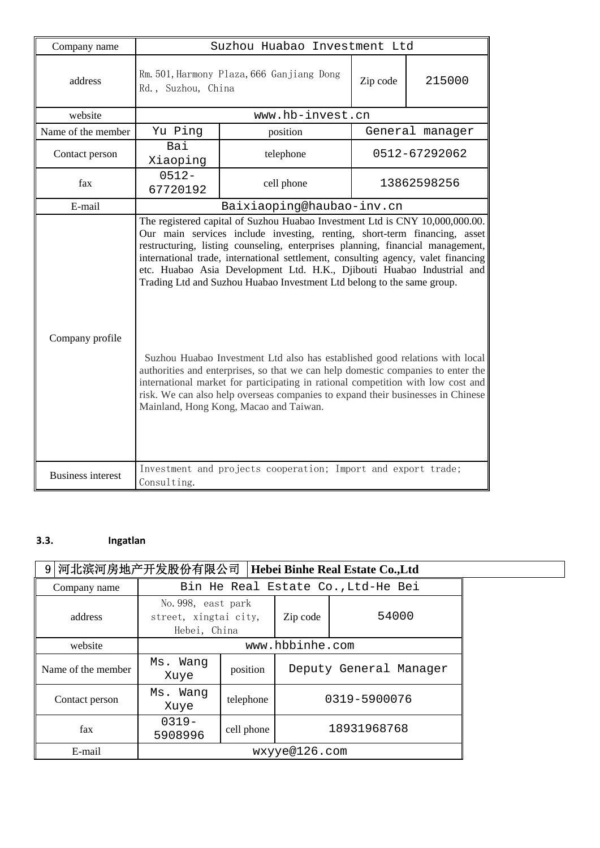| Company name             |                                                                 | Suzhou Huabao Investment Ltd                                                                                                                                                                                                                                                                                                                                                                                                                                                                                                                                                                                                                                                                                                                                                                                                                                             |          |                 |  |  |
|--------------------------|-----------------------------------------------------------------|--------------------------------------------------------------------------------------------------------------------------------------------------------------------------------------------------------------------------------------------------------------------------------------------------------------------------------------------------------------------------------------------------------------------------------------------------------------------------------------------------------------------------------------------------------------------------------------------------------------------------------------------------------------------------------------------------------------------------------------------------------------------------------------------------------------------------------------------------------------------------|----------|-----------------|--|--|
| address                  | Rm. 501, Harmony Plaza, 666 Ganjiang Dong<br>Rd., Suzhou, China |                                                                                                                                                                                                                                                                                                                                                                                                                                                                                                                                                                                                                                                                                                                                                                                                                                                                          | Zip code | 215000          |  |  |
| website                  |                                                                 | www.hb-invest.cn                                                                                                                                                                                                                                                                                                                                                                                                                                                                                                                                                                                                                                                                                                                                                                                                                                                         |          |                 |  |  |
| Name of the member       | Yu Ping                                                         | position                                                                                                                                                                                                                                                                                                                                                                                                                                                                                                                                                                                                                                                                                                                                                                                                                                                                 |          | General manager |  |  |
| Contact person           | Bai<br>Xiaoping                                                 | telephone                                                                                                                                                                                                                                                                                                                                                                                                                                                                                                                                                                                                                                                                                                                                                                                                                                                                |          | 0512-67292062   |  |  |
| fax                      | $0512 -$<br>67720192                                            | cell phone                                                                                                                                                                                                                                                                                                                                                                                                                                                                                                                                                                                                                                                                                                                                                                                                                                                               |          | 13862598256     |  |  |
| E-mail                   |                                                                 | Baixiaoping@haubao-inv.cn                                                                                                                                                                                                                                                                                                                                                                                                                                                                                                                                                                                                                                                                                                                                                                                                                                                |          |                 |  |  |
| Company profile          |                                                                 | The registered capital of Suzhou Huabao Investment Ltd is CNY 10,000,000.00.<br>Our main services include investing, renting, short-term financing, asset<br>restructuring, listing counseling, enterprises planning, financial management,<br>international trade, international settlement, consulting agency, valet financing<br>etc. Huabao Asia Development Ltd. H.K., Djibouti Huabao Industrial and<br>Trading Ltd and Suzhou Huabao Investment Ltd belong to the same group.<br>Suzhou Huabao Investment Ltd also has established good relations with local<br>authorities and enterprises, so that we can help domestic companies to enter the<br>international market for participating in rational competition with low cost and<br>risk. We can also help overseas companies to expand their businesses in Chinese<br>Mainland, Hong Kong, Macao and Taiwan. |          |                 |  |  |
| <b>Business interest</b> | Consulting.                                                     | Investment and projects cooperation; Import and export trade;                                                                                                                                                                                                                                                                                                                                                                                                                                                                                                                                                                                                                                                                                                                                                                                                            |          |                 |  |  |

### **3.3. Ingatlan**

| 9 河北滨河房地产开发股份有限公司<br>Hebei Binhe Real Estate Co., Ltd |                                                             |                 |                        |                                    |  |
|-------------------------------------------------------|-------------------------------------------------------------|-----------------|------------------------|------------------------------------|--|
| Company name                                          |                                                             |                 |                        | Bin He Real Estate Co., Ltd-He Bei |  |
| address                                               | No. 998, east park<br>street, xingtai city,<br>Hebei, China |                 | 54000<br>Zip code      |                                    |  |
| website                                               |                                                             | www.hbbinhe.com |                        |                                    |  |
| Name of the member                                    | Ms. Wang<br>Xuye                                            | position        | Deputy General Manager |                                    |  |
| Contact person                                        | Ms. Wang<br>Xuye                                            | telephone       | 0319-5900076           |                                    |  |
| fax                                                   | $0.319 -$<br>5908996                                        | cell phone      | 18931968768            |                                    |  |
| E-mail                                                |                                                             | wxyye@126.com   |                        |                                    |  |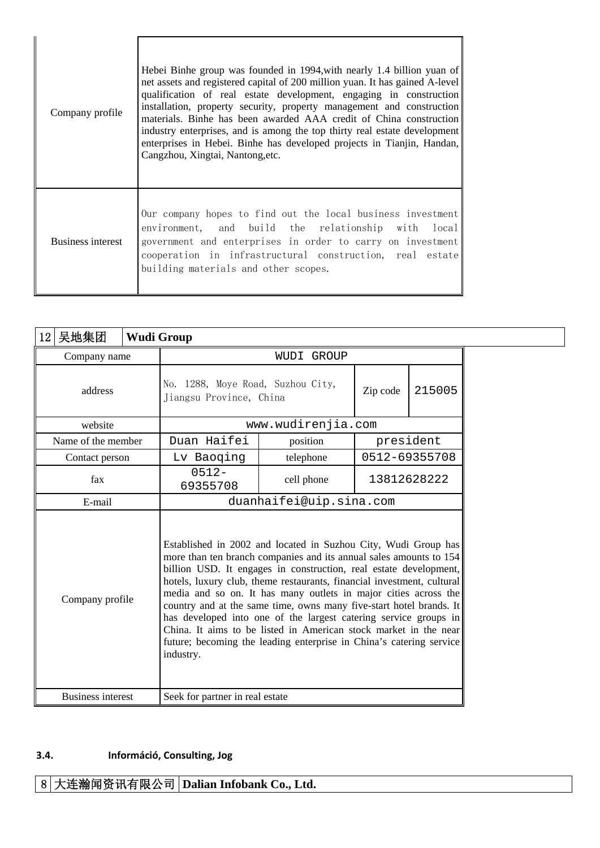| Company profile   | Hebei Binhe group was founded in 1994, with nearly 1.4 billion yuan of<br>net assets and registered capital of 200 million yuan. It has gained A-level<br>qualification of real estate development, engaging in construction<br>installation, property security, property management and construction<br>materials. Binhe has been awarded AAA credit of China construction<br>industry enterprises, and is among the top thirty real estate development<br>enterprises in Hebei. Binhe has developed projects in Tianjin, Handan,<br>Cangzhou, Xingtai, Nantong, etc. |
|-------------------|------------------------------------------------------------------------------------------------------------------------------------------------------------------------------------------------------------------------------------------------------------------------------------------------------------------------------------------------------------------------------------------------------------------------------------------------------------------------------------------------------------------------------------------------------------------------|
| Business interest | Our company hopes to find out the local business investment<br>environment, and build the relationship with local<br>government and enterprises in order to carry on investment<br>cooperation in infrastructural construction, real estate<br>building materials and other scopes.                                                                                                                                                                                                                                                                                    |

 $\overline{\mathbb{I}}$ 

| 吴地集团<br>12               | <b>Wudi Group</b>               |                                                                                                                                                                                                                                                                                                                                                                                                                                                                                                                                                                                                                                              |  |               |  |  |
|--------------------------|---------------------------------|----------------------------------------------------------------------------------------------------------------------------------------------------------------------------------------------------------------------------------------------------------------------------------------------------------------------------------------------------------------------------------------------------------------------------------------------------------------------------------------------------------------------------------------------------------------------------------------------------------------------------------------------|--|---------------|--|--|
| Company name             |                                 | WUDI GROUP                                                                                                                                                                                                                                                                                                                                                                                                                                                                                                                                                                                                                                   |  |               |  |  |
| address                  |                                 | No. 1288, Moye Road, Suzhou City,<br>Zip code<br>Jiangsu Province, China                                                                                                                                                                                                                                                                                                                                                                                                                                                                                                                                                                     |  |               |  |  |
| website                  |                                 | www.wudirenjia.com                                                                                                                                                                                                                                                                                                                                                                                                                                                                                                                                                                                                                           |  |               |  |  |
| Name of the member       | Duan Haifei                     | position                                                                                                                                                                                                                                                                                                                                                                                                                                                                                                                                                                                                                                     |  | president     |  |  |
| Contact person           | Lv Baoging                      | telephone                                                                                                                                                                                                                                                                                                                                                                                                                                                                                                                                                                                                                                    |  | 0512-69355708 |  |  |
| fax                      | $0512 -$<br>69355708            | cell phone                                                                                                                                                                                                                                                                                                                                                                                                                                                                                                                                                                                                                                   |  | 13812628222   |  |  |
| E-mail                   |                                 | duanhaifei@uip.sina.com                                                                                                                                                                                                                                                                                                                                                                                                                                                                                                                                                                                                                      |  |               |  |  |
| Company profile          | industry.                       | Established in 2002 and located in Suzhou City, Wudi Group has<br>more than ten branch companies and its annual sales amounts to 154<br>billion USD. It engages in construction, real estate development,<br>hotels, luxury club, theme restaurants, financial investment, cultural<br>media and so on. It has many outlets in major cities across the<br>country and at the same time, owns many five-start hotel brands. It<br>has developed into one of the largest catering service groups in<br>China. It aims to be listed in American stock market in the near<br>future; becoming the leading enterprise in China's catering service |  |               |  |  |
| <b>Business interest</b> | Seek for partner in real estate |                                                                                                                                                                                                                                                                                                                                                                                                                                                                                                                                                                                                                                              |  |               |  |  |

#### **3.4. Információ, Consulting, Jog**

# 8 大连瀚闻资讯有限公司 **Dalian Infobank Co., Ltd.**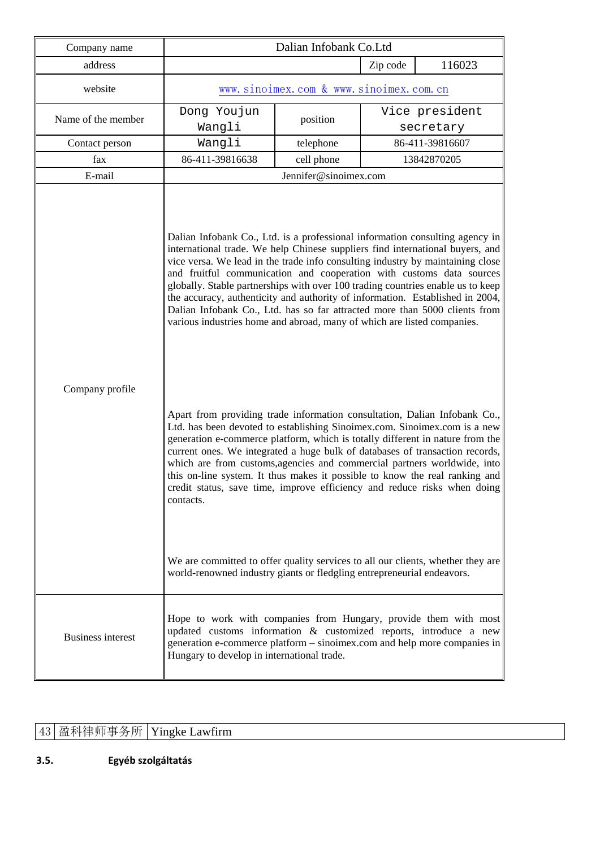| Company name             | Dalian Infobank Co.Ltd                                                                                                                                                                                                                                                                                                                                                                                                                                                                                                                                                                                                                                                                                                                                                                                                                                                                                                                                                                                                                                                                                                                                                                                                                                                                                                                                                                           |                                        |          |                             |  |
|--------------------------|--------------------------------------------------------------------------------------------------------------------------------------------------------------------------------------------------------------------------------------------------------------------------------------------------------------------------------------------------------------------------------------------------------------------------------------------------------------------------------------------------------------------------------------------------------------------------------------------------------------------------------------------------------------------------------------------------------------------------------------------------------------------------------------------------------------------------------------------------------------------------------------------------------------------------------------------------------------------------------------------------------------------------------------------------------------------------------------------------------------------------------------------------------------------------------------------------------------------------------------------------------------------------------------------------------------------------------------------------------------------------------------------------|----------------------------------------|----------|-----------------------------|--|
| address                  |                                                                                                                                                                                                                                                                                                                                                                                                                                                                                                                                                                                                                                                                                                                                                                                                                                                                                                                                                                                                                                                                                                                                                                                                                                                                                                                                                                                                  |                                        | Zip code | 116023                      |  |
| website                  |                                                                                                                                                                                                                                                                                                                                                                                                                                                                                                                                                                                                                                                                                                                                                                                                                                                                                                                                                                                                                                                                                                                                                                                                                                                                                                                                                                                                  | www.sinoimex.com & www.sinoimex.com.cn |          |                             |  |
| Name of the member       | Dong Youjun<br>Wangli                                                                                                                                                                                                                                                                                                                                                                                                                                                                                                                                                                                                                                                                                                                                                                                                                                                                                                                                                                                                                                                                                                                                                                                                                                                                                                                                                                            | position                               |          | Vice president<br>secretary |  |
| Contact person           | Wangli                                                                                                                                                                                                                                                                                                                                                                                                                                                                                                                                                                                                                                                                                                                                                                                                                                                                                                                                                                                                                                                                                                                                                                                                                                                                                                                                                                                           | telephone                              |          | 86-411-39816607             |  |
| fax                      | 86-411-39816638                                                                                                                                                                                                                                                                                                                                                                                                                                                                                                                                                                                                                                                                                                                                                                                                                                                                                                                                                                                                                                                                                                                                                                                                                                                                                                                                                                                  | cell phone                             |          | 13842870205                 |  |
| E-mail                   |                                                                                                                                                                                                                                                                                                                                                                                                                                                                                                                                                                                                                                                                                                                                                                                                                                                                                                                                                                                                                                                                                                                                                                                                                                                                                                                                                                                                  | Jennifer@sinoimex.com                  |          |                             |  |
| Company profile          | Dalian Infobank Co., Ltd. is a professional information consulting agency in<br>international trade. We help Chinese suppliers find international buyers, and<br>vice versa. We lead in the trade info consulting industry by maintaining close<br>and fruitful communication and cooperation with customs data sources<br>globally. Stable partnerships with over 100 trading countries enable us to keep<br>the accuracy, authenticity and authority of information. Established in 2004,<br>Dalian Infobank Co., Ltd. has so far attracted more than 5000 clients from<br>various industries home and abroad, many of which are listed companies.<br>Apart from providing trade information consultation, Dalian Infobank Co.,<br>Ltd. has been devoted to establishing Sinoimex.com. Sinoimex.com is a new<br>generation e-commerce platform, which is totally different in nature from the<br>current ones. We integrated a huge bulk of databases of transaction records,<br>which are from customs, agencies and commercial partners worldwide, into<br>this on-line system. It thus makes it possible to know the real ranking and<br>credit status, save time, improve efficiency and reduce risks when doing<br>contacts.<br>We are committed to offer quality services to all our clients, whether they are<br>world-renowned industry giants or fledgling entrepreneurial endeavors. |                                        |          |                             |  |
| <b>Business interest</b> | Hope to work with companies from Hungary, provide them with most<br>updated customs information & customized reports, introduce a new<br>generation e-commerce platform – sinoimex.com and help more companies in<br>Hungary to develop in international trade.                                                                                                                                                                                                                                                                                                                                                                                                                                                                                                                                                                                                                                                                                                                                                                                                                                                                                                                                                                                                                                                                                                                                  |                                        |          |                             |  |

# 43 盈科律师事务所 Yingke Lawfirm

### **3.5. Egyéb szolgáltatás**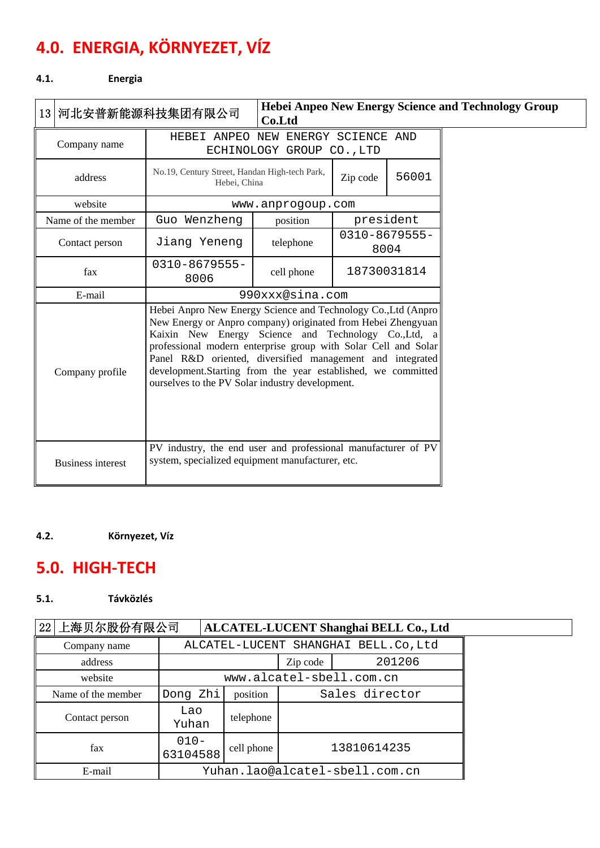# **4.0. ENERGIA, KÖRNYEZET, VÍZ**

#### **4.1. Energia**

| 13 河北安普新能源科技集团有限公司       |                                                                                                                                                                                                                                                                                                                                                                                                                                          | Co.Ltd                    |           |                            | <b>Hebei Anpeo New Energy Science and Technology Group</b> |
|--------------------------|------------------------------------------------------------------------------------------------------------------------------------------------------------------------------------------------------------------------------------------------------------------------------------------------------------------------------------------------------------------------------------------------------------------------------------------|---------------------------|-----------|----------------------------|------------------------------------------------------------|
| Company name             | HEBEI ANPEO NEW ENERGY SCIENCE AND                                                                                                                                                                                                                                                                                                                                                                                                       | ECHINOLOGY GROUP CO., LTD |           |                            |                                                            |
| address                  | No.19, Century Street, Handan High-tech Park,<br>Hebei, China                                                                                                                                                                                                                                                                                                                                                                            |                           | Zip code  | 56001                      |                                                            |
| website                  |                                                                                                                                                                                                                                                                                                                                                                                                                                          | www.anprogoup.com         |           |                            |                                                            |
| Name of the member       | Guo Wenzheng                                                                                                                                                                                                                                                                                                                                                                                                                             | position                  | president |                            |                                                            |
| Contact person           | Jiang Yeneng                                                                                                                                                                                                                                                                                                                                                                                                                             | telephone                 |           | $0310 - 8679555 -$<br>8004 |                                                            |
| fax                      | $0310 - 8679555 -$<br>8006                                                                                                                                                                                                                                                                                                                                                                                                               | cell phone                |           | 18730031814                |                                                            |
| E-mail                   |                                                                                                                                                                                                                                                                                                                                                                                                                                          | 990xxx@sina.com           |           |                            |                                                            |
| Company profile          | Hebei Anpro New Energy Science and Technology Co., Ltd (Anpro)<br>New Energy or Anpro company) originated from Hebei Zhengyuan<br>Kaixin New Energy Science and Technology Co., Ltd, a<br>professional modern enterprise group with Solar Cell and Solar<br>Panel R&D oriented, diversified management and integrated<br>development.Starting from the year established, we committed<br>ourselves to the PV Solar industry development. |                           |           |                            |                                                            |
| <b>Business interest</b> | PV industry, the end user and professional manufacturer of PV<br>system, specialized equipment manufacturer, etc.                                                                                                                                                                                                                                                                                                                        |                           |           |                            |                                                            |

#### **4.2. Környezet, Víz**

## **5.0. HIGH‐TECH**

#### **5.1. Távközlés**

# 22 上海贝尔股份有限公司 **ALCATEL-LUCENT Shanghai BELL Co., Ltd**

| Company name       | ALCATEL-LUCENT SHANGHAI BELL.Co, Ltd |            |                |             |  |  |
|--------------------|--------------------------------------|------------|----------------|-------------|--|--|
| address            |                                      |            | Zip code       | 201206      |  |  |
| website            | www.alcatel-sbell.com.cn             |            |                |             |  |  |
| Name of the member | Dong Zhi                             | position   | Sales director |             |  |  |
| Contact person     | Lao<br>telephone<br>Yuhan            |            |                |             |  |  |
| fax                | $010 -$<br>63104588                  | cell phone |                | 13810614235 |  |  |
| E-mail             | Yuhan.lao@alcatel-sbell.com.cn       |            |                |             |  |  |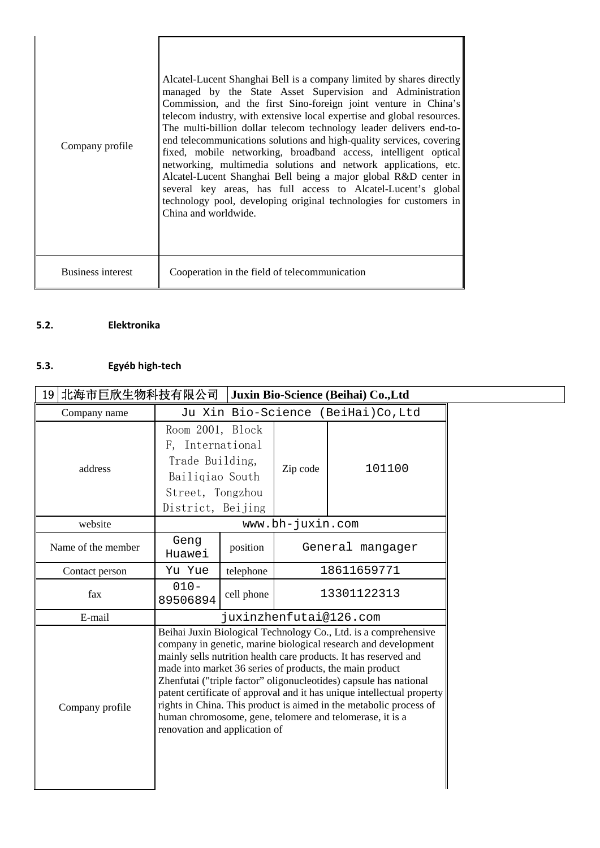| Company profile          | Alcatel-Lucent Shanghai Bell is a company limited by shares directly<br>managed by the State Asset Supervision and Administration<br>Commission, and the first Sino-foreign joint venture in China's<br>telecom industry, with extensive local expertise and global resources.<br>The multi-billion dollar telecom technology leader delivers end-to-<br>end telecommunications solutions and high-quality services, covering<br>fixed, mobile networking, broadband access, intelligent optical<br>networking, multimedia solutions and network applications, etc.<br>Alcatel-Lucent Shanghai Bell being a major global R&D center in<br>several key areas, has full access to Alcatel-Lucent's global<br>technology pool, developing original technologies for customers in<br>China and worldwide. |
|--------------------------|-------------------------------------------------------------------------------------------------------------------------------------------------------------------------------------------------------------------------------------------------------------------------------------------------------------------------------------------------------------------------------------------------------------------------------------------------------------------------------------------------------------------------------------------------------------------------------------------------------------------------------------------------------------------------------------------------------------------------------------------------------------------------------------------------------|
| <b>Business interest</b> | Cooperation in the field of telecommunication                                                                                                                                                                                                                                                                                                                                                                                                                                                                                                                                                                                                                                                                                                                                                         |

#### **5.2. Elektronika**

### **5.3. Egyéb high‐tech**

| 北海市巨欣生物科技有限公司<br>Juxin Bio-Science (Beihai) Co., Ltd<br>19 |                                                                                                                                                                                                                                                                                                                                                                                                                                                                                                                                                                                     |            |                  |             |  |  |
|------------------------------------------------------------|-------------------------------------------------------------------------------------------------------------------------------------------------------------------------------------------------------------------------------------------------------------------------------------------------------------------------------------------------------------------------------------------------------------------------------------------------------------------------------------------------------------------------------------------------------------------------------------|------------|------------------|-------------|--|--|
| Company name                                               | Ju Xin Bio-Science (BeiHai)Co, Ltd                                                                                                                                                                                                                                                                                                                                                                                                                                                                                                                                                  |            |                  |             |  |  |
| address                                                    | Room 2001, Block<br>F, International<br>Trade Building,<br>Bailigiao South<br>Street, Tongzhou<br>District, Beijing                                                                                                                                                                                                                                                                                                                                                                                                                                                                 |            | Zip code         | 101100      |  |  |
| website                                                    |                                                                                                                                                                                                                                                                                                                                                                                                                                                                                                                                                                                     |            |                  |             |  |  |
| Name of the member                                         | Geng<br>Huawei                                                                                                                                                                                                                                                                                                                                                                                                                                                                                                                                                                      | position   | General mangager |             |  |  |
| Contact person                                             | Yu Yue                                                                                                                                                                                                                                                                                                                                                                                                                                                                                                                                                                              | telephone  | 18611659771      |             |  |  |
| fax                                                        | $010 -$<br>89506894                                                                                                                                                                                                                                                                                                                                                                                                                                                                                                                                                                 | cell phone |                  | 13301122313 |  |  |
| E-mail                                                     |                                                                                                                                                                                                                                                                                                                                                                                                                                                                                                                                                                                     |            |                  |             |  |  |
| Company profile                                            | Beihai Juxin Biological Technology Co., Ltd. is a comprehensive<br>company in genetic, marine biological research and development<br>mainly sells nutrition health care products. It has reserved and<br>made into market 36 series of products, the main product<br>Zhenfutai ("triple factor" oligonucleotides) capsule has national<br>patent certificate of approval and it has unique intellectual property<br>rights in China. This product is aimed in the metabolic process of<br>human chromosome, gene, telomere and telomerase, it is a<br>renovation and application of |            |                  |             |  |  |